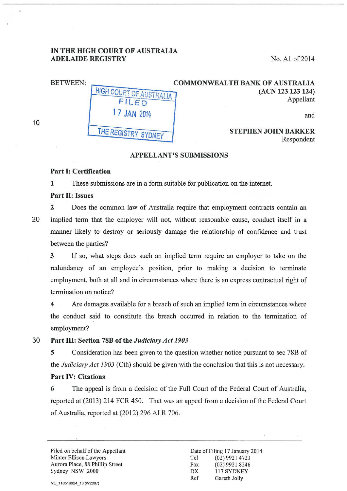### IN THE HIGH COURT OF AUSTRALIA ADELAIDE REGISTRY No. A1 of 2014

| <b>COMMONWEALTH BANK OF AUSTRALIA</b><br>(ACN 123 123 124)<br>Appellant | HIGH COURT OF AUSTRALIA<br>FILED | <b>BETWEEN:</b> |
|-------------------------------------------------------------------------|----------------------------------|-----------------|
| and                                                                     | 1 7 JAN 2014                     |                 |
| <b>STEPHEN JOHN BARKER</b><br>$D$ concredent                            | THE REGISTRY SYDNEY              |                 |

Respondent

#### APPELLANT'S SUBMISSIONS

## Part 1: Certification

1 These submissions are in a form suitable for publication on the internet.

### Part II: Issues

10

2 Does the common law of Australia require that employment contracts contain an 20 implied term that the employer will not, without reasonable cause, conduct itself in a manner likely to destroy or seriously damage the relationship of confidence and trust between the parties?

3 If so, what steps does such an implied term require an employer to take on the redundancy of an employee's position, prior to making a decision to terminate employment, both at all and in circumstances where there is an express contractual right of termination on notice?

4 Are damages available for a breach of such an implied term in circumstances where the conduct said to constitute the breach occurred in relation to the termination of employment?

# 30 Part III: Section 78B of the *Judiciary Act 1903*

5 Consideration has been given to the question whether notice pursuant to sec 78B of the *Judiciary Act 1903* (Cth) should be given with the conclusion that this is not necessary.

# Part IV: Citations

6 The appeal is from a decision of the Full Court of the Federal Court of Australia, reported at (2013) 214 FCR 450. That was an appeal from a decision of the Federal Court of Australia, reported at (2012) 296 ALR 706.

Filed on behalf of the Appellant Minter Ellison Lawyers Aurora Place, 88 Phillip Street Sydney NSW 2000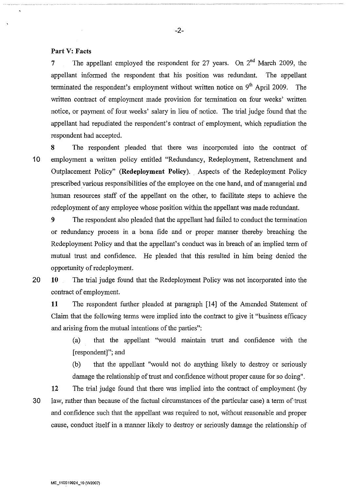### **Part V: Facts**

7 The appellant employed the respondent for 27 years. On  $2^{nd}$  March 2009, the appellant informed the respondent that his position was redundant. The appellant terminated the respondent's employment without written notice on  $9<sup>th</sup>$  April 2009. The written contract of employment made provision for termination on four weeks' written notice, or payment of four weeks' salary in lieu of notice. The trial judge found that the appellant had repudiated the respondent's contract of employment, which repudiation the respondent had accepted.

-2-

**8** The respondent pleaded that there was incorporated into the contract of 10 employment a written policy entitled "Redundancy, Redeployment, Retrenchment and Outplacement Policy" **(Redeployment Policy).** Aspects of the Redeployment Policy prescribed various responsibilities of the employee on the one hand, and of managerial and human resources staff of the appellant on the other, to facilitate steps to achieve the redeployment of any employee whose position within the appellant was made redundant.

**9** The respondent also pleaded that the appellant had failed to conduct the termination or redundancy process in a bona fide and or proper manner thereby breaching the Redeployment Policy and that the appellant's conduct was in breach of an implied term of mutual trust and confidence. He pleaded that this resulted in him being denied the opportunity of redeployment.

20 **10** The trial judge found that the Redeployment Policy was not incorporated into the contract of employment.

**11** The respondent further pleaded at paragraph [14] of the Amended Statement of Claim that the following terms were implied into the contract to give it "business efficacy and arising from the mutual intentions of the parties":

(a) that the appellant "would maintain trust and confidence with the [respondent]"; and

(b) that the appellant "would not do anything likely to destroy or seriously damage the relationship of trust and confidence without proper cause for so doing".

**12** The trial judge found that there was implied into the contract of employment (by 30 law, rather than because of the factual circumstances of the particular case) a term of trust and confidence such that the appellant was required to not, without reasonable and proper cause, conduct itself in a manner likely to destroy or seriously damage the relationship of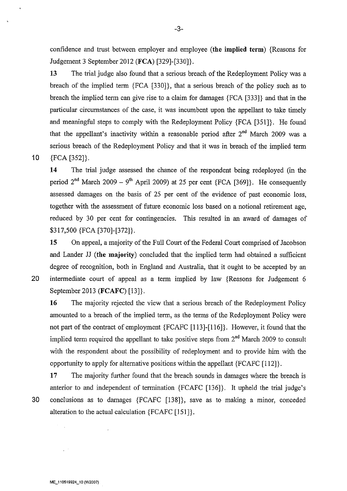confidence and trust between employer and employee **(the implied term)** {Reasons for Judgement 3 September 2012 **(FCA)** [329]-[330]}.

**13** The trial judge also found that a serious breach of the Redeployment Policy was a breach of the implied term {FCA [330]}, that a serious breach of the policy such as to breach the implied term can give rise to a claim for damages {FCA [333]} and that in the particular circumstances of the case, it was incumbent upon the appellant to take timely and meaningful steps to comply with the Redeployment Policy {FCA [351]}. He found that the appellant's inactivity within a reasonable period after  $2<sup>nd</sup>$  March 2009 was a serious breach of the Redeployment Policy and that it was in breach of the implied term 10 {FCA [352]}.

**14** The trial judge assessed the chance of the respondent being redeployed (in the period  $2^{nd}$  March 2009 – 9<sup>th</sup> April 2009) at 25 per cent {FCA [369]}. He consequently assessed damages on the basis of 25 per cent of the evidence of past economic loss, together with the assessment of future economic loss based on a notional retirement age, reduced by 30 per cent for contingencies. This resulted in an award of damages of \$317,500 {FCA [370]-[372]}.

**15** On appeal, a majority of the Full Court of the Federal Court comprised of Jacobson and Lander JJ **(the majority)** concluded that the implied term had obtained a sufficient degree of recognition, both in England and Australia, that it ought to be accepted by an 20 intermediate court of appeal as a term implied by law {Reasons for Judgement 6 September 2013 **(FCAFC)** [13]}.

**16** The majority rejected the view that a serious breach of the Redeployment Policy amounted to a breach of the implied term, as the terms of the Redeployment Policy were not part of the contract of employment {FCAFC [113]-[116]}. However, it found that the implied term required the appellant to take positive steps from  $2<sup>nd</sup>$  March 2009 to consult with the respondent about the possibility of redeployment and to provide him with the opportunity to apply for alternative positions within the appellant {FCAFC [112]}.

**17** The majority further found that the breach sounds in damages where the breach is anterior to and independent of termination {FCAFC [136]}. It upheld the trial judge's 30 conclusions as to damages {FCAFC [138]}, save as to making a minor, conceded alteration to the actual calculation {FCAFC [151]}.

-3-

 $\mathcal{F}^{\mathcal{G}}_{\mathcal{G}}$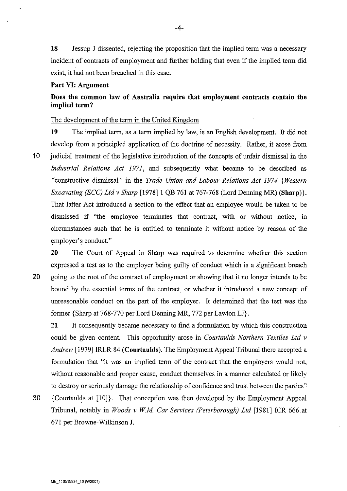**18** Jessup J dissented, rejecting the proposition that the implied term was a necessary incident of contracts of employment and further holding that even if the implied term did exist, it had not been breached in this case.

### **Part VI: Argument**

# **Does the common law of Australia require that employment contracts contain the implied term?**

### The development of the term in the United Kingdom

**19** The implied term, as a term implied by law, is an English development. It did not develop from a principled application of the doctrine of necessity. Rather, it arose from

**1** 0 judicial treatment of the legislative introduction of the concepts of unfair dismissal in the *Industrial Relations Act 1971,* and subsequently what became to be described as "constructive dismissal" in the *Trade Union and Labour Relations Act 1974 {Western Excavating (ECC) Ltd v Sharp* [1978] 1 QB 761 at 767-768 (Lord Denning MR) **(Sharp)}.**  That latter Act introduced a section to the effect that an employee would be taken to be dismissed if "the employee terminates that contract, with or without notice, in circumstances such that he is entitled to terminate it without notice by reason of the employer's conduct."

**20** The Court of Appeal in Sharp was required to determine whether this section expressed a test as to the employer being guilty of conduct which is a significant breach 20 going to the root of the contract of employment or showing that it no longer intends to be bound by the essential terms of the contract, or whether it introduced a new concept of unreasonable conduct on the part of the employer. It determined that the test was the former {Sharp at 768-770 per Lord Denning MR, 772 per Lawton LJ}.

**21** It consequently became necessary to find a formulation by which this construction could be given content. This opportunity arose in *Courtaulds Northern Textiles Ltd v Andrew* [1979] IRLR 84 **(Courtaulds).** The Employment Appeal Tribunal there accepted a formulation that "it was an implied term of the contract that the employers would not, without reasonable and proper cause, conduct themselves in a manner calculated or likely to destroy or seriously damage the relationship of confidence and trust between the parties"

30 {Courtaulds at [10]}. That conception was then developed by the Employment Appeal Tribunal, notably in *Woods v WM Car Services (Peterborough) Ltd* [1981] ICR 666 at 671 per Browne-Wilkinson J.

-4-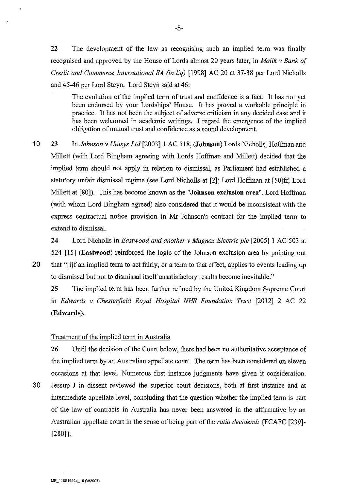**22** The development of the law as recognising such an implied term was finally recognised and approved by the House of Lords almost 20 years later, in *Malik v Bank of Credit and Commerce International SA (in liq)* [1998] AC 20 at 37-38 per Lord Nicholls and 45-46 per Lord Steyn. Lord Steyn said at 46:

The evolution of the implied term of trust and confidence is a fact. It has not yet been endorsed by your Lordships' House. It has proved a workable principle in practice. It has not been the subject of adverse criticism in any decided case and it has been welcomed in academic writings. I regard the emergence of the implied obligation of mutual trust and confidence as a sound development.

10 23 In *Johnson v Unisys Ltd* [2003] I AC 518, **(Johnson)** Lords Nicholls, Hoffman and Millett (with Lord Bingham agreeing with Lords Hoffman and Millett) decided that the implied term should not apply in relation to dismissal, as Parliament had established a statutory unfair dismissal regime (see Lord Nicholls at [2]; Lord Hoffman at [50]ff; Lord Millett at [80]). This has become known as the **"Johnson exclusion area".** Lord Hoffman (with whom Lord Bingham agreed) also considered that it would be inconsistent with the express contractual notice provision in Mr Johnson's contract for the implied term to extend to dismissal.

**24** Lord Nicholls in *Eastwood and another v Magnox Electric pic* [2005] 1 AC 503 at 524 [15] **(Eastwood)** reinforced the logic of the Johnson exclusion area by pointing out 20 that "[i]f an implied term to act fairly, or a term to that effect, applies to events leading up to dismissal but not to dismissal itself unsatisfactory results become inevitable."

**25** The implied term has been further refined by the United Kingdom Supreme Court in *Edwards v Chesterfield Royal Hospital NHS Foundation Trust* [2012] 2 AC 22 **(Edwards).** 

### Treatment of the implied term in Australia

**26** Until the decision of the Court below, there had been no authoritative acceptance of the implied term by an Australian appellate court. The term has been considered on eleven occasions at that level. Numerous first instance judgments have given it consideration.

' 30 Jessup J in dissent reviewed the superior court decisions, both at first instance and at intermediate appellate level, concluding that the question whether the implied term is part of the law of contracts in Australia has never been answered in the affirmative by an Australian appellate court in the sense of being part of the *ratio decidendi* {FCAFC [239]- [280]}.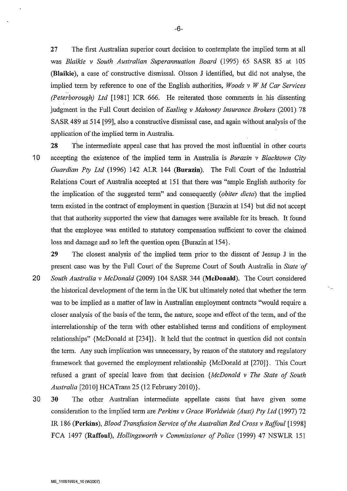27 The first Australian superior court decision to contemplate the implied term at all was *Blaikie v South Australian Superannuation Board* (1995) 65 SASR 85 at 105 **(Blaikie** ), a case of constructive dismissal. Olsson J identified, but did not analyse, the implied term by reference to one of the English authorities, *Woods v W M Car Services (Peterborough) Ltd* [1981] ICR 666. He reiterated those comments in his dissenting judgment in the Full Court decision of *Easling v Mahoney Insurance Brokers* (2001) 78 SASR 489 at 514 [99], also a constructive dismissal case, and again without analysis of the application of the implied term in Australia.

28 The intermediate appeal case that has proved the most influential in other courts 1 0 accepting the existence of the implied term in Australia is *Burazin v Blacktown City Guardian Pty Ltd* (1996) 142 ALR 144 **(Burazin).** The Full Court of the Industrial Relations Court of Australia accepted at 151 that there was "ample English authority for the implication of the suggested term" and consequently *(obiter dicta)* that the implied term existed in the contract of employment in question {Burazin at 154} but did not accept that that authority supported the view that damages were available for its breach. It found that the employee was entitled to statutory compensation sufficient to cover the claimed loss and damage and so left the question open {Burazin at 154}.

29 The closest analysis of the implied term prior to the dissent of Jessup J in the present case was by the Full Court of the Supreme Court of South Australia in *State of* 20 *South Australia v McDonald* (2009) 104 SASR 344 **(McDonald).** The Court considered the historical development of the term in the UK but ultimately noted that whether the term was to be implied as a matter of law in Australian employment contracts "would require a closer analysis of the basis of the term, the nature, scope and effect of the term, and of the interrelationship of the term with other established terms and conditions of employment relationships" {McDonald at [234]}. It held that the contract in question did not contain the term. Any such implication was unnecessary, by reason of the statutory and regulatory framework that governed the employment relationship {McDonald at [270]}. This Court refused a grant of special leave from that decision *{McDonald v The State of South Australia* [2010] HCATrans 25 (12 February 2010)}.

30 30 The other Australian intermediate appellate cases that have given some consideration to the implied term are *Perkins v Grace Worldwide (Aust) Pty Ltd* (1997) 72 IR 186 **(Perkins),** *Blood Transfusion Service of the Australian Red Cross v Raffoul* [1998] FCA 1497 **(Raffoul),** *Hollingsworth v Commissioner of Police* (1999) 47 NSWLR 151

-6-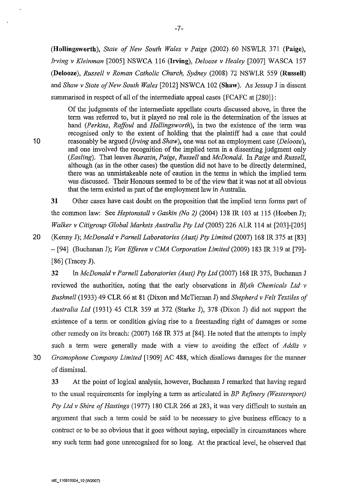**(Hollingsworth),** *State of New South Wales v Paige* (2002) 60 NSWLR 371 **(Paige),**  *Irving v Kleinman* [2005] NSWCA 116 **(Irving),** *Delooze v Healey* [2007] WASCA 157 **(Delooze),** *Russell v Roman Catholic Church, Sydney* (2008) 72 NSWLR 559 **(Russell)**  and *Shaw v State of New South Wales* [2012] NSWCA 102 **(Shaw).** As Jessup J in dissent summarised in respect of all of the intermediate appeal cases {FCAFC at [280]}:

Of the judgments of the intermediate appellate courts discussed above, in three the term was referred to, but it played no real role in the determination of the issues at hand *(Perkins, Raffoul* and *Hollingsworth),* in two the existence of the term was recognised only to the extent of holding that the plaintiff had a case that could 10 reasonably be argued *(Irving and Shaw)*, one was not an employment case *(Delooze)*, and one involved the recognition of the implied term in a dissenting judgment only *(Easling).* That leaves *Burazin, Paige, Russell* and *McDonald.* In *Paige* and *Russell,*  although (as in the other cases) the question did not have to be directly determined, there was an unmistakeable note of caution in the terms in which the implied term was discussed. Their Honours seemed to be of the view that it was not at all obvious that the term existed as part of the employment law in Australia.

**31** Other cases have cast doubt on the proposition that the implied term forms part of the common law: See *Heptonstall v Gaskin (No 2)* (2004) 138 IR 103 at 115 (Hoeben J); *Walker v Citigroup Global Markets Australia Pty Ltd* (2005) 226 ALR 114 at [203]-[205]

20 (Kenny J); *McDonald v Parnell Laboratories (Aust) Pty Limited* (2007) 168 IR 375 at [83] - [94] (Buchanan J); *Van Efferen v CMA Corporation Limited* (2009) 183 IR 319 at [79]- [86] (Tracey J).

32 In *McDonald v Parnell Laboratories (Aust) Pty Ltd* (2007) 168 IR 375, Buchanan J reviewed the authorities, noting that the early observations in *Blyth Chemicals Ltd v Bushnell* (1933) 49 CLR 66 at 81 (Dixon and McTiernan J) and *Shepherd v Felt Textiles of Australia Ltd* (1931) 45 CLR 359 at 372 (Starke J), 378 (Dixon J) did not support the existence of a term or condition giving rise to a freestanding right of damages or some other remedy on its breach: (2007) 168 IR 375 at [84]. He noted that the attempts to imply such a term were generally made with a view to avoiding the effect of *Addis v*  30 *Gramophone Company Limited* [1909] AC 488, which disallows damages for the manner of dismissal.

33 At the point of logical analysis, however, Buchanan J remarked that having regard to the usual requirements for implying a term as articulated in *BP Refinery (Westernport) Pty Ltd v Shire of Hastings* (1977) 180 CLR 266 at 283, it was very difficult to sustain an argument that such a term could be said to be necessary to give business efficacy to a contract or to be so obvious that it goes without saying, especially in circumstances where any such term had gone unrecognised for so long. At the practical level, he observed that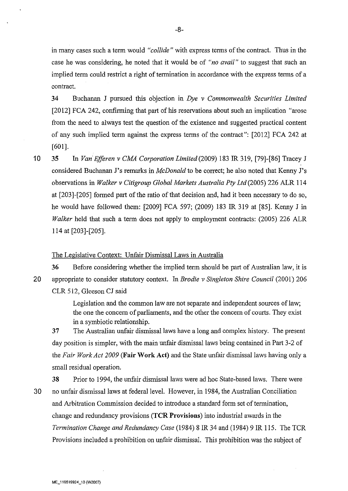in many cases such a term would *"collide"* with express terms of the contract. Thus in the case he was considering, he noted that it would be of *"no avail"* to suggest that such an implied term could restrict a right of termination in accordance with the express terms of a contract.

34 Buchanan J pursued this objection in *Dye v Commonwealth Securities Limited*  [2012] FCA 242, confirming that part of his reservations about such an implication "arose from the need to always test the question of the existence and suggested practical content of any such implied term against the express terms of the contract": [2012] FCA 242 at [601].

10 35 In *Van Efferen v CMA Corporation Limited(2009)* 183 IR 319, [79]-[86] Tracey J considered Buchanan J's remarks in *McDonald* to be correct; he also noted that Kenny J's observations in *Walker v Citigroup Global Markets Australia Pty Ltd* (2005) 226 ALR 114 at [203]-[205] formed part of the ratio of that decision and, had it been necessary to do so, he would have followed them: [2009] FCA 597; (2009) 183 IR 319 at [85]. Kenny J in *Walker* held that such a term does not apply to employment contracts: (2005) 226 ALR 114 at [203]-[205].

### The Legislative Context: Unfair Dismissal Laws in Australia

36 Before considering whether the implied term should be part of Australian law, it is 20 appropriate to consider statutory context. In *Brodie v Singleton Shire Council* (2001) 206 CLR 512, Gleeson CJ said

> Legislation and the common law are not separate and independent sources of law; the one the concern of parliaments, and the other the concern of courts. They exist in a symbiotic relationship.

37 The Australian unfair dismissal laws have a long and complex history. The present day position is simpler, with the main unfair dismissal laws being contained in Part 3-2 of the *Fair Work Act 2009* (Fair Work Act) and the State unfair dismissal laws having only a small residual operation.

38 Prior to 1994, the unfair dismissal laws were ad hoc State-based laws. There were 30 no unfair dismissal laws at federal level. However, in 1984, the Australian Conciliation and Arbitration Commission decided to introduce a standard form set of termination, change and redundancy provisions (TCR Provisions) into industrial awards in the *Termination Change and Redundancy Case* (1984) 8 IR 34 and (1984) 9 IR 115. The TCR Provisions included a prohibition on unfair dismissal. This prohibition was the subject of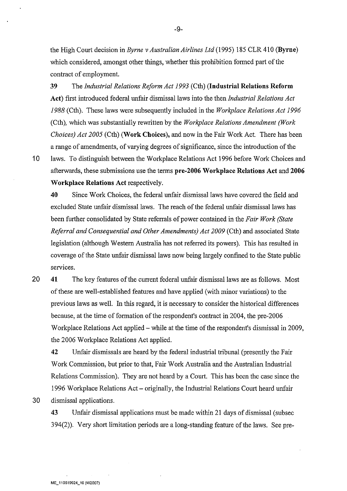the High Court decision in *Byrne v Australian Airlines Ltd* (1995) 185 CLR 410 (Byrne) which considered, amongst other things, whether this prohibition formed part of the contract of employment.

39 The *Industrial Relations Reform Act 1993* (Cth) (Industrial Relations Reform Act) first introduced federal unfair dismissal laws into the then *Industrial Relations Act 1988* (Cth). These laws were subsequently included in the *Workplace Relations Act 1996*  (Cth), which was substantially rewritten by the *Workplace Relations Amendment (Work Choices) Act 2005* (Cth) (Work Choices), and now in the Fair Work Act. There has been a range of amendments, of varying degrees of significance, since the introduction of the 10 laws. To distinguish between the Workplace Relations Act 1996 before Work Choices and afterwards, these submissions use the terms pre-2006 Workplace Relations Act and 2006 Workplace Relations Act respectively.

40 Since Work Choices, the federal unfair dismissal laws have covered the field and excluded State unfair dismissal laws. The reach of the federal unfair dismissal laws has been further consolidated by State referrals of power contained in the *Fair Work (State Referral and Consequential and Other Amendments) Act 2009* (Cth) and associated State legislation (although Western Australia has not referred its powers). This has resulted in coverage of the State unfair dismissal laws now being largely confined to the State public services.

20 41 The key features of the current federal unfair dismissal laws are as follows. Most of these are well-established features and have applied (with minor variations) to the previous laws as well. In this regard, it is necessary to consider the historical differences because, at the time of formation of the respondent's contract in 2004, the pre-2006 Workplace Relations Act applied – while at the time of the respondent's dismissal in 2009, the 2006 Workplace Relations Act applied.

42 Unfair dismissals are heard by the federal industrial tribunal (presently the Fair Work Commission, but prior to that, Fair Work Australia and the Australian Industrial Relations Commission). They are not heard by a Court. This has been the case since the 1996 Workplace Relations Act- originally, the Industrial Relations Court heard unfair 30 dismissal applications.

43 Unfair dismissal applications must be made within 21 days of dismissal (subsec 394(2)). Very short limitation periods are a long-standing feature of the laws. See pre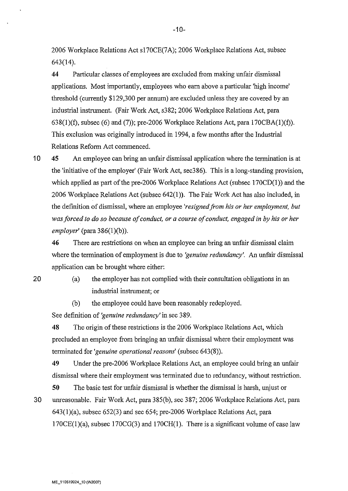2006 Workplace Relations Act s170CE(7A); 2006 Workplace Relations Act, subsec 643(14).

**44** Particular classes of employees are excluded from making unfair dismissal applications. Most importantly, employees who earn above a particular 'high income' threshold (currently \$129,300 per annum) are excluded unless they are covered by an industrial instrument. (Fair Work Act, s382; 2006 Workplace Relations Act, para  $638(1)(f)$ , subsec  $(6)$  and  $(7)$ ); pre-2006 Workplace Relations Act, para 170CBA $(1)(f)$ ). This exclusion was originally introduced in 1994, a few months after the Industrial Relations Reform Act commenced.

10 45 An employee can bring an unfair dismissal application where the termination is at the 'initiative of the employer' (Fair Work Act, sec386). This is a long-standing provision, which applied as part of the pre-2006 Workplace Relations Act (subsec  $170CD(1)$ ) and the 2006 Workplace Relations Act (subsec 642(1)). The Fair Work Act has also included, in the definition of dismissal, where an employee *'resigned from his or her employment, but was forced to do so because of conduct, or a course of conduct, engaged in by his or her employer'* (para 386(1)(b)).

**46** There are restrictions on when an employee can bring an unfair dismissal claim where the termination of employment is due to *'genuine redundancy'.* An unfair dismissal application can be brought where either:

20

(a) the employer has not complied with their consultation obligations in an industrial instrument; or

(b) the employee could have been reasonably redeployed.

See definition of *'genuine redundancy'* in sec 389.

48 The origin of these restrictions is the 2006 Workplace Relations Act, which precluded an employee from bringing an unfair dismissal where their employment was terminated for *'genuine operational reasons'* (subsec 643(8)).

49 Under the pre-2006 Workplace Relations Act, an employee could bring an unfair dismissal where their employment was terminated due to redundancy, without restriction.

**50** The basic test for unfair dismissal is whether the dismissal is harsh, unjust or 30 unreasonable. Fair Work Act, para 385(b), sec 387; 2006 Workplace Relations Act, para 643(1)(a), subsec 652(3) and sec 654; pre-2006 Workplace Relations Act, para 170CE(1)(a), subsec 170CG(3) and 170CH(l). There is a significant volume of case law

-10-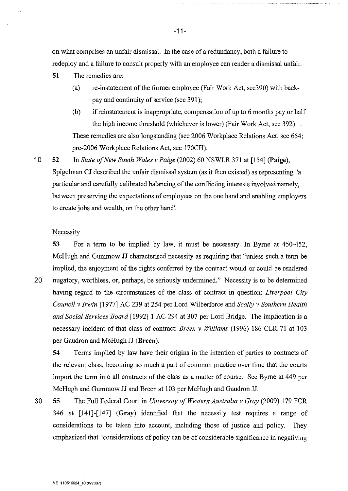on what comprises an unfair dismissal. In the case of a redundancy, both a failure to redeploy and a failure to consult properly with an employee can render a dismissal unfair.

- **51** The remedies are:
	- (a) re-instatement of the former employee (Fair Work Act, sec390) with backpay and continuity of service (sec 391);
	- (b) if reinstatement is inappropriate, compensation of up to 6 months pay or half the high income threshold (whichever is lower) (Fair Work Act, sec 392)... These remedies are also longstanding (see 2006 Workplace Relations Act, sec 654; pre-2006 Workplace Relations Act, sec 170CH).

**10 52**  In *State of New South Wales v Paige* (2002) 60 NSWLR 371 at [154] **(Paige),**  Spigelman CJ described the unfair dismissal system (as it then existed) as representing 'a particular and carefully calibrated balancing of the conflicting interests involved namely, between preserving the expectations of employees on the one hand and enabling employers to create jobs and wealth, on the other hand'.

### **Necessity**

53 For a term to be implied by law, it must be necessary. In Byrne at 450-452, McHugh and Gummow JJ characterised necessity as requiring that "unless such a term be implied, the enjoyment of the rights conferred by the contract would or could be rendered 20 nugatory, worthless, or, perhaps, be seriously undermined." Necessity is to be determined having regard to the circumstances of the class of contract in question: *Liverpool City* 

*Council v Irwin* [1977] AC 239 at 254 per Lord Wilberforce and *Scally v Southern Health and Social Services Board* [1992] 1 AC 294 at 307 per Lord Bridge. The implication is a necessary incident of that class of contract: *Breen v Williams* (!996) 186 CLR 7l at 103 per Gaudron and McHugh JJ **(Breen).** 

**54** Terms implied by law have their origins in the intention of parties to contracts of the relevant class, becoming so much a part of common practice over time that the courts import the term into all contracts of the class as a matter of course. See Byrne at 449 per McHugh and Gummow JJ and Breen at 103 per McHugh and Gaudron JJ.

30 **55** The Full Federal Court in *University of Western Australia v Gray* (2009) 179 FCR 346 at [141]-[147] **(Gray)** identified that the necessity test requires a range of considerations to be taken into account, including those of justice and policy. They emphasized that "considerations of policy can be of considerable significance in negativing

-11-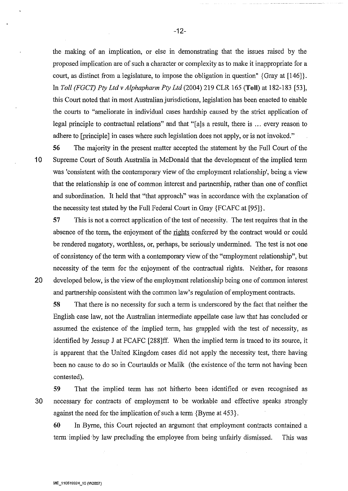the making of an implication, or else in demonstrating that the issues raised by the proposed implication are of such a character or complexity as to make it inappropriate for a court, as distinct from a legislature, to impose the obligation in question" {Gray at [146]}. In *Toll (FGCT) Pty Ltdv Alphapharm Pty Ltd* (2004) 219 CLR 165 **(Toll)** at 182-183 [53], this Court noted that in most Australian jurisdictions, legislation has been enacted to enable the courts to "ameliorate in individual cases hardship caused by the strict application of legal principle to contractual relations" and that "[a]s a result, there is ... every reason to adhere to [principle] in cases where such legislation does not apply, or is not invoked."

**56** The majority in the present matter accepted the statement by the Full Court of the 10 Supreme Court of South Australia in McDonald that the development of the implied term was 'consistent with the contemporary view of the employment relationship', being a view that the relationship is one of common interest and partnership, rather than one of conflict and subordination. It held that "that approach" was in accordance with the explanation of the necessity test stated by the Full Federal Comt in Gray {FCAFC at [95]}.

57 This is not a correct application of the test of necessity. The test requires that in the absence of the term, the enjoyment of the rights conferred by the contract would or could be rendered nugatory, worthless, or, perhaps, be seriously undermined. The test is not one of consistency of the term with a contemporary view of the "employment relationship", but necessity of the term for the enjoyment of the contractual rights. Neither, for reasons 20 developed below, is the view of the employment relationship being one of common interest and partnership consistent with the common law's regulation of employment contracts.

**58** That there is no necessity for such a term is underscored by the fact that neither the English case law, not the Australian intermediate appellate case law that has concluded or assumed the existence of the implied term, has grappled with the test of necessity, as identified by Jessup J at FCAFC [288]ff. When the implied term is traced to its source, it is apparent that the United Kingdom cases did not apply the necessity test, there having been no cause to do so in Courtaulds or Malik (the existence of the term not having been contested).

**59** That the implied term has not hitherto been identified or even recognised as 30 necessary for contracts of employment to be workable and effective speaks strongly against the need for the implication of such a term {Byrne at 453}.

**60** In Byrne, this Court rejected an argument that employment contracts contained a term implied by law precluding the employee from being unfairly dismissed. This was

-12-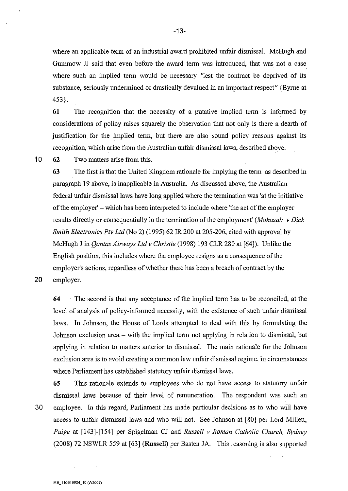where an applicable term of an industrial award prohibited unfair dismissal. McHugh and Gummow JJ said that even before the award term was introduced, that was not a case where such an implied term would be necessary "lest the contract be deprived of its substance, seriously undermined or drastically devalued in an important respect" {Byrne at 453}.

**61** The recognition that the necessity of a putative implied term is informed by considerations of policy raises squarely the observation that not only is there a dearth of justification for the implied term, but there are also sound policy reasons against its recognition, which arise from the Australian unfair dismissal laws, described above.

10 62 Two matters arise from this.

**63** The first is that the United Kingdom rationale for implying the term as described in paragraph 19 above, is inapplicable in Australia. As discussed above, the Australian federal unfair dismissal laws have long applied where the termination was 'at the initiative of the employer' -which has been interpreted to include where 'the act of the employer results directly or consequentially in the termination of the employment' *(Mohazab v Dick Smith Electronics Pty Ltd* (No 2) (1995) 62 IR 200 at 205-206, cited with approval by McHugh J in *Qantas Airways Ltdv Christie* (1998) 193 CLR 280 at [64]). Unlike the English position, this includes where the employee resigns as a consequence of the employer's actions, regardless of whether there has been a breach of contract by the

20 employer.

**64** The second is that any acceptance of the implied term has to be reconciled, at the level of analysis of policy-informed necessity, with the existence of such unfair dismissal laws. In Johnson, the House of Lords attempted to deal with this by formulating the Johnson exclusion area - with the implied term not applying in relation to dismissal, but applying in relation to matters anterior to dismissal. The main rationale for the Johnson exclusion area is to avoid creating a common law unfair dismissal regime, in circumstances where Parliament has established statutory unfair dismissal laws.

**65** This rationale extends to employees who do not have access to statutory unfair dismissal laws because of their level of remuneration. The respondent was such an 30 employee. In this regard, Parliament has made particular decisions as to who will have access to unfair dismissal laws and who will not. See Johnson at [80] per Lord Millett, *Paige* at [143]-[154] per Spigelman CJ and *Russell v Roman Catholic Church, Sydney*  (2008) 72 NSWLR 559 at [63] **(Russell)** per Basten JA. This reasoning is also supported

 $\frac{1}{2} \sum_{i=1}^n \frac{1}{2} \sum_{j=1}^n \frac{1}{2} \sum_{j=1}^n \frac{1}{2} \sum_{j=1}^n \frac{1}{2} \sum_{j=1}^n \frac{1}{2} \sum_{j=1}^n \frac{1}{2} \sum_{j=1}^n \frac{1}{2} \sum_{j=1}^n \frac{1}{2} \sum_{j=1}^n \frac{1}{2} \sum_{j=1}^n \frac{1}{2} \sum_{j=1}^n \frac{1}{2} \sum_{j=1}^n \frac{1}{2} \sum_{j=1}^n \frac{1}{2} \sum_{j=$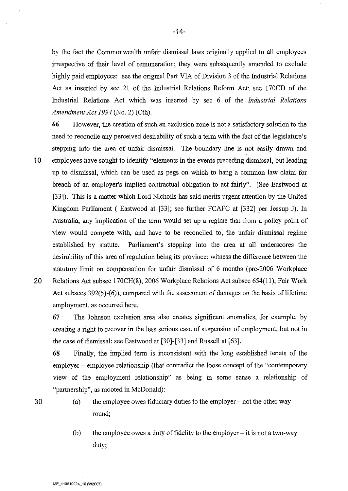-14-

by the fact the Commonwealth unfair dismissal laws originally applied to all employees irrespective of their level of remuneration; they were subsequently amended to exclude highly paid employees: see the original Part VIA of Division 3 of the Industrial Relations Act as inserted by sec 21 of the Industrial Relations Reform Act; sec 170CD of the Industrial Relations Act which was inserted by sec 6 of the *Industrial Relations Amendment Act 1994* (No. 2) (Cth).

66 However, the creation of such an exclusion zone is not a satisfactory solution to the need to reconcile any perceived desirability of such a term with the fact of the legislature's stepping into the area of unfair dismissal. The boundary line is not easily drawn and 1 0 employees have sought to identify "elements in the events preceding dismissal, but leading up to dismissal, which can be used as pegs on which to hang a common law claim for breach of an employer's implied contractual obligation to act fairly". (See Eastwood at [33]). This is a matter which Lord Nicholls has said merits urgent attention by the United Kingdom Parliament ( Eastwood at [33]; see further FCAFC at [332] per Jessup J). In Australia, any implication of the term would set up a regime that from a policy point of view would compete with, and have to be reconciled to, the unfair dismissal regime established by statute. Parliament's stepping into the area at all underscores the desirability of this area of regulation being its province: witness the difference between the statutory limit on compensation for unfair dismissal of 6 months (pre-2006 Workplace

20 Relations Act subsec 170CH(8), 2006 Workplace Relations Act subsec 654(11), Fair Work Act subsecs  $392(5)-(6)$ ), compared with the assessment of damages on the basis of lifetime employment, as occurred here.

67 The Johnson exclusion area also creates significant anomalies, for example, by creating a right to recover in the less serious case of suspension of employment, but not in the case of dismissal: see Eastwood at [30]-[33] and Russell at [63].

68 Finally, the implied term is inconsistent with the long established tenets of the employer – employee relationship (that contradict the loose concept of the "contemporary view of the employment relationship" as being in some sense a relationship of "partnership", as mooted in McDonald):

- 
- 30 (a) the employee owes fiduciary duties to the employer- not the other way round;
	- (b) the employee owes a duty of fidelity to the employer  $-$  it is not a two-way duty;

**ME\_110519924\_10 {W2007)**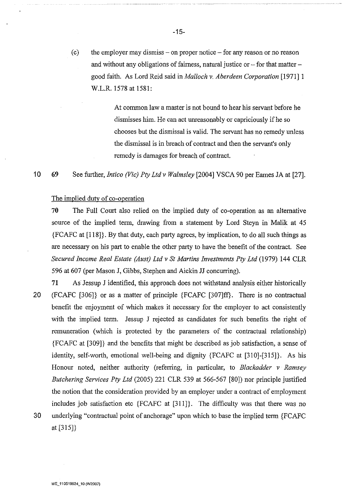(c) the employer may dismiss  $-$  on proper notice  $-$  for any reason or no reason and without any obligations of fairness, natural justice or  $-$  for that matter  $$ good faith. As Lord Reid said in *Malloch v. Aberdeen Corporation* [ 1971] I W.L.R. 1578 at 1581:

> At common law a master is not bound to hear his servant before he dismisses him. He can act unreasonably or capriciously if he so chooses but the dismissal is valid. The servant has no remedy unless the dismissal is in breach of contract and then the servant's only remedy is damages for breach of contract.

**10 69**  See further, *Intico (Vic) Pty Ltd v Walmsley* [2004] VSCA 90 per Eames JA at [27].

### The implied duty of co-operation

**70** The Full Court also relied on the implied duty of co-operation as an alternative source of the implied term, drawing from a statement by Lord Steyn in Malik at 45 {FCAFC at [118]}. By that duty, each party agrees, by implication, to do all such things as are necessary on his part to enable the other party to have the benefit of the contract. See *Secured Income Real Estate (Aust) Ltd v St Martins Investments Pty Ltd* (1979) **144** CLR 596 at 607 (per Mason J, Gibbs, Stephen and Aickin JJ concurring).

**71** As Jessup **J** identified, this approach does not withstand analysis either historically 20 (FCAFC [306]} or as a matter of principle {FCAFC [307]ff}. There is no contractual benefit the enjoyment of which makes it necessary for the employer to act consistently with the implied term. Jessup J rejected as candidates for such benefits the right of remuneration (which is protected by the parameters of the contractual relationship) {FCAFC at [309]} and the benefits that might be described as job satisfaction, a sense of identity, self-worth, emotional well-being and dignity {FCAFC at [310]-[315]}. As his Honour noted, neither authority (referring, in particular, to *Blackadder v Ramsey Butchering Services Pty Ltd* (2005) 221 CLR 539 at 566-567 [80]) nor principle justified the notion that the consideration provided by an employer under a contract of employment includes job satisfaction etc {FCAFC at [311]}. The difficulty was that there was no 30 underlying "contractual point of anchorage" upon which to base the implied term {FCAFC at [315]}

-15-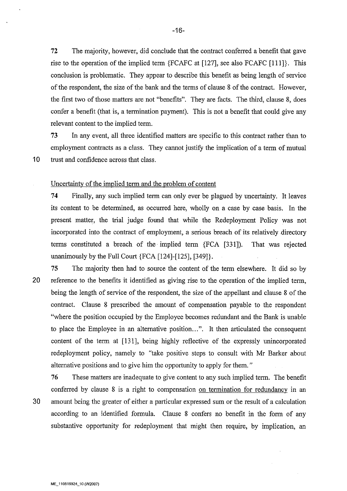72 The majority, however, did conclude that the contract conferred a benefit that gave rise to the operation of the implied term {FCAFC at [127], see also FCAFC [111]}. This conclusion is problematic. They appear to describe this benefit as being length of service of the respondent, the size of the bank and the terms of clause 8 of the contract. However, the first two of those matters are not "benefits". They are facts. The third, clause 8, does confer a benefit (that is, a termination payment). This is not a benefit that could give any relevant content to the implied term.

73 In any event, all three identified matters are specific to this contract rather than to employment contracts as a class. They cannot justify the implication of a term of mutual 10 trust and confidence across that class.

Uncertainty of the implied term and the problem of content

74 Finally, any such implied term can only ever be plagued by uncertainty. It leaves its content to be determined, as occurred here, wholly on a case by case basis. In the present matter, the trial judge found that while the Redeployment Policy was not incorporated into the contract of employment, a serious breach of its relatively directory terms constituted a breach of the implied term {FCA [331 ]). That was rejected unanimously by the Full Court {FCA [124]-[125], [349]}.

75 The majority then had to source the content of the term elsewhere. It did so by 20 reference to the benefits it identified as giving rise to the operation of the implied term, being the length of service of the respondent, the size of the appellant and clause 8 of the contract. Clause 8 prescribed the amount of compensation payable to the respondent "where the position occupied by the Employee becomes redundant and the Bank is unable to place the Employee in an alternative position...". It then articulated the consequent content of the term at [131], being highly reflective of the expressly unincorporated redeployment policy, namely to "take positive steps to consult with Mr Barker about alternative positions and to give him the opportunity to apply for them."

76 These matters are inadequate to give content to any such implied term. The benefit conferred by clause 8 is a right to compensation on termination for redundancy in an 30 amount being the greater of either a particular expressed sum or the result of a calculation according to an identified formula. Clause 8 confers no benefit in the form of any substantive opportunity for redeployment that might then require, by implication, an

-16-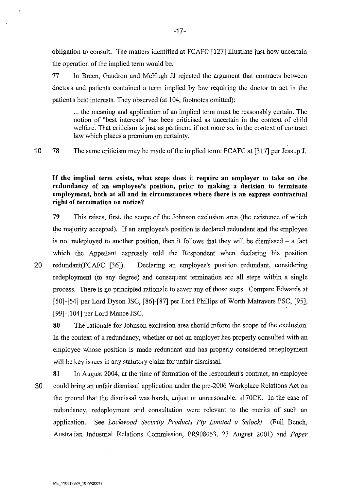obligation to consult. The matters identified at FCAFC [127] illustrate just how uncertain the operation of the implied term would be.

77 In Breen, Gaudron and McHugh JJ rejected the argument that contracts between doctors and patients contained a term implied by law requiring the doctor to act in the patient's best interests. They observed (at 104, footnotes omitted):

... the meaning and application of an implied term must be reasonably certain. The notion of "best interests" has been criticised as uncertain in the context of child welfare. That criticism is just as pertinent, if not more so, in the context of contract law which places a premium on certainty.

**10 78**  The same criticism may be made of the implied term: FCAFC at [317] per Jessup **J.** 

**If the implied term exists, what steps does it require an employer to take on the redundancy of an employee's position, prior to making a decision to terminate employment, both at all and in circumstances where there is an express contractual right of termination on notice?** 

**79** This raises, first, the scope of the Johnson exclusion area (the existence of which the majority accepted). If an employee's position is declared redundant and the employee is not redeployed to another position, then it follows that they will be dismissed  $-$  a fact which the Appellant expressly told the Respondent when declaring his position 20 redundant(FCAFC [36]). Declaring an employee's position redundant, considering redeployment (to any degree) and consequent termination are all steps within a single process. There is no principled rationale to sever any of those steps. Compare Edwards at

[50]-[54] per Lord Dyson JSC, [86]-[87] per Lord Phillips of Worth Matravers PSC, [95], [99]-[104] per Lord Mance JSC.

**80** The rationale for Johnson exclusion area should inform the scope of the exclusion. In the context of a redundancy, whether or not an employer has properly consulted with an employee whose position is made redundant and has properly considered redeployment will be key issues in any statutory claim for unfair dismissal.

**81** In August 2004, at the time of formation of the respondent's contract, an employee 30 could bring an unfair dismissal application under the pre-2006 Workplace Relations Act on the ground that the dismissal was harsh, unjust or unreasonable: s170CE. In the case of redundancy, redeployment and consultation were relevant to the merits of such an application. See *Lockwood Security Products Pty Limited v Sulocki* (Full Bench, Australian Industrial Relations Commission, PR908053, 23 August 2001) and *Paper*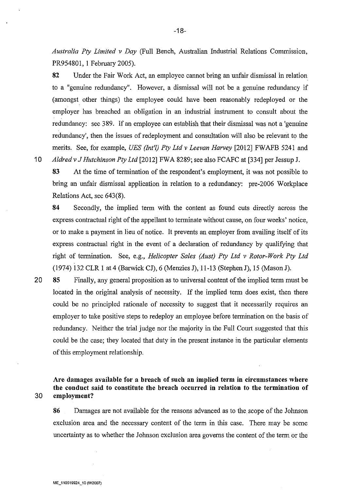*Australia Pty Limited v Day* (Full Bench, Australian Industrial Relations Commission, PR954801, 1 February 2005).

82 Under the Fair Work Act, an employee cannot bring an unfair dismissal in relation to a "genuine redundancy". However, a dismissal will not be a genuine redundancy if (amongst other things) the employee could have been reasonably redeployed or the employer has breached an obligation in an industrial instrument to consult about the redundancy: sec 389. If an employee can establish that their dismissal was not a 'genuine redundancy', then the issues of redeployment and consultation will also be relevant to the merits. See, for example, *UES (Int'l) Pty Ltd v Leevan Harvey* [2012] FWAFB 5241 and 10 *Aldred v* J *Hutchinson Pty Ltd* [2012] FWA 8289; see also FCAFC at [334] per Jessup J.

83 At the time of termination of the respondent's employment, it was not possible to bring an unfair dismissal application in relation to a redundancy: pre-2006 Workplace Relations Act, sec 643(8).

84 Secondly, the implied term with the content as found cuts directly across the express contractual right of the appellant to terminate without cause, on four weeks' notice, or to make a payment in lieu of notice. It prevents an employer from availing itself of its express contractual right in the event of a declaration of redundancy by qualifying that right of termination. See, e.g., *Helicopter Sales (Aust) Pty Ltd v Rotor-Work Pty Ltd*  (1974) 132 CLR 1 at 4 (Barwick CJ), 6 (Menzies J), 11-13 (Stephen J), 15 (Mason J).

20 85 Finally, any general proposition as to universal content of the implied term must be located in the original analysis of necessity. If the implied term does exist, then there could be no principled rationale of necessity to suggest that it necessarily requires an employer to take positive steps to redeploy an employee before termination on the basis of redundancy. Neither the trial judge nor the majority in the Full Court suggested that this could be the case; they located that duty in the present instance in the particular elements of this employment relationship.

# Are damages available for a breach of such an implied term in circumstances where the conduct said to constitute the breach occurred in relation to the termination of 30 employment?

86 Damages are not available for the reasons advanced as to the scope of the Johnson exclusion area and the necessary content of the term in this case. There may be some uncertainty as to whether the Johnson exclusion area governs the content of the term or the

-18-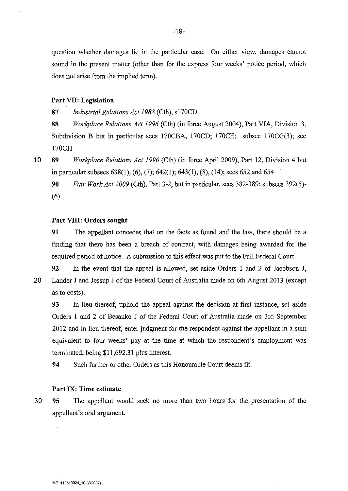question whether damages lie in the particular case. On either view, damages cannot sound in the present matter (other than for the express four weeks' notice period, which does not arise from the implied term).

### **Part VII: Legislation**

87 *Industrial Relations Act 1988* (Cth), s170CD

**88** *Workplace Relations Act 1996* (Cth) (in force August 2004), Part VIA, Division 3, Subdivision B but in particular sees 170CBA, 170CD; 170CE; subsec 170CG(3); sec 170CH

**10 89** *Workplace Relations Act 1996* (Cth) (in force April 2009), Part 12, Division 4 but in particular subsecs 638(1), (6), (7); 642(1); 643(1), (8), (14); sees 652 and 654

**90** *Fair Work Act 2009* (Cth), Part 3-2, but in particular, sees 382-389; subsecs 392(5)- (6)

### **Part VIII: Orders sought**

**91** The appellant concedes that on the facts as found and the law, there should be a. finding that there has been a breach of contract, with damages being awarded for the required period of notice. A submission to this effect was put to the Full Federal Court.

**92** In the event that the appeal is allowed, set aside Orders 1 and 2 of Jacobson J, 20 Lander J and Jessup J of the Federal Court of Australia made on 6th August 2013 (except as to costs).

93 In lieu thereof, uphold the appeal against the decision at first instance, set aside Orders I and 2 of Besanko J of the Federal Court of Australia made on 3rd September 2012 and in lieu thereof, enter judgment for the respondent against the appellant in a sum equivalent to four weeks' pay at the time at which the respondent's employment was terminated, being \$11,692.31 plus interest.

**94** Such further or other Orders as this Honourable Court deems fit.

#### **Part IX: Time estimate**

30 **95** The appellant would seek no more than two hours for the presentation of the appellant's oral argument.